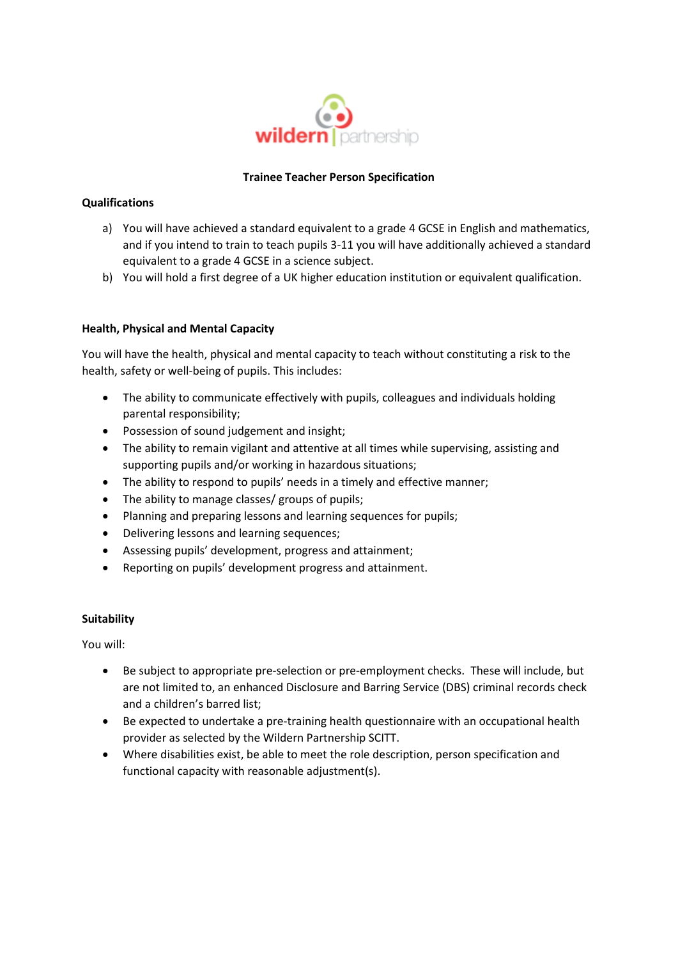

## **Trainee Teacher Person Specification**

## **Qualifications**

- a) You will have achieved a standard equivalent to a grade 4 GCSE in English and mathematics, and if you intend to train to teach pupils 3-11 you will have additionally achieved a standard equivalent to a grade 4 GCSE in a science subject.
- b) You will hold a first degree of a UK higher education institution or equivalent qualification.

## **Health, Physical and Mental Capacity**

You will have the health, physical and mental capacity to teach without constituting a risk to the health, safety or well-being of pupils. This includes:

- The ability to communicate effectively with pupils, colleagues and individuals holding parental responsibility;
- Possession of sound judgement and insight;
- The ability to remain vigilant and attentive at all times while supervising, assisting and supporting pupils and/or working in hazardous situations;
- The ability to respond to pupils' needs in a timely and effective manner;
- The ability to manage classes/ groups of pupils;
- Planning and preparing lessons and learning sequences for pupils;
- Delivering lessons and learning sequences;
- Assessing pupils' development, progress and attainment;
- Reporting on pupils' development progress and attainment.

### **Suitability**

You will:

- Be subject to appropriate pre-selection or pre-employment checks. These will include, but are not limited to, an enhanced Disclosure and Barring Service (DBS) criminal records check and a children's barred list;
- Be expected to undertake a pre-training health questionnaire with an occupational health provider as selected by the Wildern Partnership SCITT.
- Where disabilities exist, be able to meet the role description, person specification and functional capacity with reasonable adjustment(s).